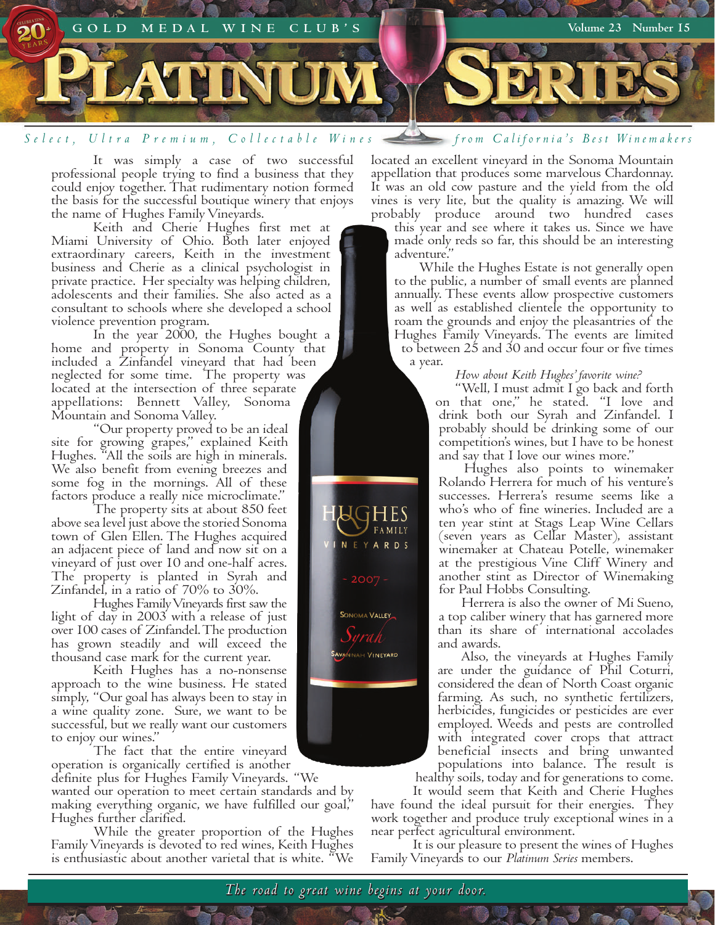

It was simply a case of two successful professional people trying to find a business that they could enjoy together. That rudimentary notion formed the basis for the successful boutique winery that enjoys the name of Hughes Family Vineyards.

Keith and Cherie Hughes first met at Miami University of Ohio. Both later enjoyed extraordinary careers, Keith in the investment business and Cherie as a clinical psychologist in private practice. Her specialty was helping children, adolescents and their families. She also acted as a consultant to schools where she developed a school violence prevention program.

In the year 2000, the Hughes bought a home and property in Sonoma County that included a Zinfandel vineyard that had been neglected for some time. The property was located at the intersection of three separate appellations: Bennett Valley, Sonoma Mountain and Sonoma Valley.

"Our property proved to be an ideal site for growing grapes," explained Keith Hughes. "All the soils are high in minerals. We also benefit from evening breezes and some fog in the mornings. All of these factors produce a really nice microclimate."

The property sits at about 850 feet above sea level just above the storied Sonoma town of Glen Ellen. The Hughes acquired an adjacent piece of land and now sit on a vineyard of just over 10 and one-half acres. The property is planted in Syrah and Zinfandel, in a ratio of 70% to 30%.

Hughes Family Vineyards first saw the light of day in 2003 with a release of just over 100 cases of Zinfandel. The production has grown steadily and will exceed the thousand case mark for the current year.

Keith Hughes has a no-nonsense approach to the wine business. He stated simply, "Our goal has always been to stay in a wine quality zone. Sure, we want to be successful, but we really want our customers to enjoy our wines."

The fact that the entire vineyard operation is organically certified is another

definite plus for Hughes Family Vineyards. "We wanted our operation to meet certain standards and by making everything organic, we have fulfilled our goal," Hughes further clarified.

While the greater proportion of the Hughes Family Vineyards is devoted to red wines, Keith Hughes is enthusiastic about another varietal that is white. "We

located an excellent vineyard in the Sonoma Mountain appellation that produces some marvelous Chardonnay. It was an old cow pasture and the yield from the old

vines is very lite, but the quality is amazing. We will probably produce around two hundred cases this year and see where it takes us. Since we have made only reds so far, this should be an interesting adventure."

 While the Hughes Estate is not generally open to the public, a number of small events are planned annually. These events allow prospective customers as well as established clientele the opportunity to roam the grounds and enjoy the pleasantries of the Hughes Family Vineyards. The events are limited to between 25 and 30 and occur four or five times a year.

#### *How about Keith Hughes' favorite wine?*

"Well, I must admit I go back and forth on that one," he stated. "I love and drink both our Syrah and Zinfandel. I probably should be drinking some of our competition's wines, but I have to be honest and say that I love our wines more."

 Hughes also points to winemaker Rolando Herrera for much of his venture's successes. Herrera's resume seems like a who's who of fine wineries. Included are a ten year stint at Stags Leap Wine Cellars (seven years as Cellar Master), assistant winemaker at Chateau Potelle, winemaker at the prestigious Vine Cliff Winery and another stint as Director of Winemaking for Paul Hobbs Consulting.

 Herrera is also the owner of Mi Sueno, a top caliber winery that has garnered more than its share of international accolades and awards.

 Also, the vineyards at Hughes Family are under the guidance of Phil Coturri, considered the dean of North Coast organic farming. As such, no synthetic fertilizers, herbicides, fungicides or pesticides are ever employed. Weeds and pests are controlled with integrated cover crops that attract beneficial insects and bring unwanted populations into balance. The result is healthy soils, today and for generations to come.

It would seem that Keith and Cherie Hughes have found the ideal pursuit for their energies. They work together and produce truly exceptional wines in a near perfect agricultural environment.

It is our pleasure to present the wines of Hughes Family Vineyards to our *Platinum Series* members.

**VALLEY** 

NAH VINEYARD